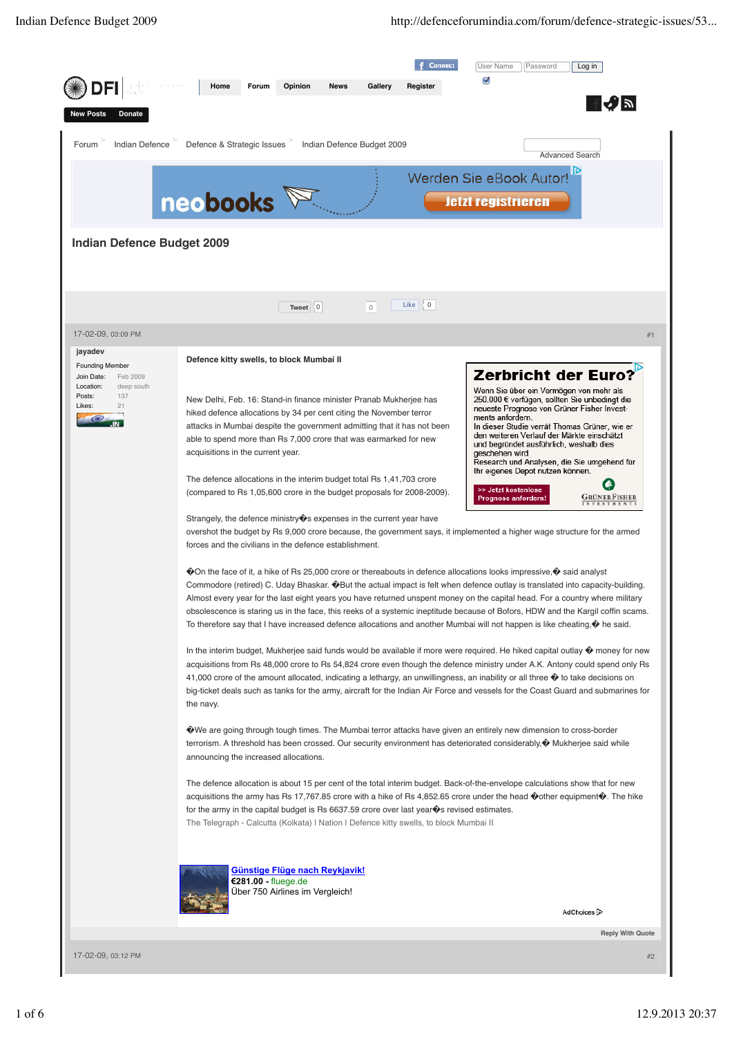|                                                   |                                                                                                                                                                                                           |                                                       |                                                                                       | <b>Connect</b>         | <b>User Name</b><br>Password<br>☑                                                                                                                                                                                                                                         | Log in                     |  |
|---------------------------------------------------|-----------------------------------------------------------------------------------------------------------------------------------------------------------------------------------------------------------|-------------------------------------------------------|---------------------------------------------------------------------------------------|------------------------|---------------------------------------------------------------------------------------------------------------------------------------------------------------------------------------------------------------------------------------------------------------------------|----------------------------|--|
| Indian Defence<br>DFII                            | Home<br>Forum                                                                                                                                                                                             | Opinion<br><b>News</b>                                | Gallery                                                                               | Register               |                                                                                                                                                                                                                                                                           | よる                         |  |
| New Posts<br>Donate                               |                                                                                                                                                                                                           |                                                       |                                                                                       |                        |                                                                                                                                                                                                                                                                           |                            |  |
| Indian Defence<br>Forum                           | Defence & Strategic Issues                                                                                                                                                                                |                                                       | Indian Defence Budget 2009                                                            |                        |                                                                                                                                                                                                                                                                           | in í                       |  |
|                                                   |                                                                                                                                                                                                           |                                                       |                                                                                       |                        | Werden Sie eBook Autor!                                                                                                                                                                                                                                                   | <b>Advanced Search</b>     |  |
|                                                   |                                                                                                                                                                                                           |                                                       |                                                                                       |                        |                                                                                                                                                                                                                                                                           |                            |  |
|                                                   | neobooks <sup></sup>                                                                                                                                                                                      |                                                       |                                                                                       |                        | <b>Jetzt registrieren</b>                                                                                                                                                                                                                                                 |                            |  |
| <b>Indian Defence Budget 2009</b>                 |                                                                                                                                                                                                           |                                                       |                                                                                       |                        |                                                                                                                                                                                                                                                                           |                            |  |
|                                                   |                                                                                                                                                                                                           |                                                       |                                                                                       |                        |                                                                                                                                                                                                                                                                           |                            |  |
|                                                   |                                                                                                                                                                                                           |                                                       |                                                                                       |                        |                                                                                                                                                                                                                                                                           |                            |  |
|                                                   |                                                                                                                                                                                                           | Tweet $\leq 0$                                        | $\circ$                                                                               | Like<br>$\overline{0}$ |                                                                                                                                                                                                                                                                           |                            |  |
| 17-02-09, 03:09 PM                                |                                                                                                                                                                                                           |                                                       |                                                                                       |                        |                                                                                                                                                                                                                                                                           | #1                         |  |
| jayadev<br><b>Founding Member</b>                 | Defence kitty swells, to block Mumbai II                                                                                                                                                                  |                                                       |                                                                                       |                        |                                                                                                                                                                                                                                                                           |                            |  |
| Join Date:<br>Feb 2009<br>Location:<br>deep south |                                                                                                                                                                                                           |                                                       |                                                                                       |                        | <b>Zerbricht der Euro?</b>                                                                                                                                                                                                                                                |                            |  |
| Posts:<br>137<br>Likes:<br>21                     | New Delhi, Feb. 16: Stand-in finance minister Pranab Mukherjee has                                                                                                                                        |                                                       |                                                                                       |                        | Wenn Sie über ein Vermögen von mehr als<br>250.000 € verfügen, sollten Sie unbedingt die<br>neueste Prognose von Grüner Fisher Invest-                                                                                                                                    |                            |  |
|                                                   | hiked defence allocations by 34 per cent citing the November terror<br>attacks in Mumbai despite the government admitting that it has not been                                                            |                                                       |                                                                                       |                        | ments anfordern.<br>In dieser Studie verrät Thomas Grüner, wie er                                                                                                                                                                                                         |                            |  |
|                                                   | able to spend more than Rs 7,000 crore that was earmarked for new                                                                                                                                         |                                                       | den weiteren Verlauf der Märkte einschätzt<br>und begründet ausführlich, weshalb dies |                        |                                                                                                                                                                                                                                                                           |                            |  |
|                                                   | acquisitions in the current year.                                                                                                                                                                         |                                                       |                                                                                       |                        | geschehen wird.<br>Research und Analysen, die Sie umgehend für<br>Ihr eigenes Depot nutzen können.                                                                                                                                                                        |                            |  |
|                                                   | The defence allocations in the interim budget total Rs 1,41,703 crore                                                                                                                                     |                                                       | >> Jetzt kostenlose                                                                   |                        |                                                                                                                                                                                                                                                                           |                            |  |
|                                                   | (compared to Rs 1,05,600 crore in the budget proposals for 2008-2009).<br><b>GRÜNERFISHER</b><br>Prognose anfordern!<br>INVESTMENTS                                                                       |                                                       |                                                                                       |                        |                                                                                                                                                                                                                                                                           |                            |  |
|                                                   | Strangely, the defence ministry $\bullet$ s expenses in the current year have<br>overshot the budget by Rs 9,000 crore because, the government says, it implemented a higher wage structure for the armed |                                                       |                                                                                       |                        |                                                                                                                                                                                                                                                                           |                            |  |
|                                                   | forces and the civilians in the defence establishment.                                                                                                                                                    |                                                       |                                                                                       |                        |                                                                                                                                                                                                                                                                           |                            |  |
|                                                   |                                                                                                                                                                                                           |                                                       |                                                                                       |                        | ◆ On the face of it, a hike of Rs 25,000 crore or thereabouts in defence allocations looks impressive, ◆ said analyst                                                                                                                                                     |                            |  |
|                                                   |                                                                                                                                                                                                           |                                                       |                                                                                       |                        | Commodore (retired) C. Uday Bhaskar. <sup>1</sup> But the actual impact is felt when defence outlay is translated into capacity-building.<br>Almost every year for the last eight years you have returned unspent money on the capital head. For a country where military |                            |  |
|                                                   |                                                                                                                                                                                                           |                                                       |                                                                                       |                        | obsolescence is staring us in the face, this reeks of a systemic ineptitude because of Bofors, HDW and the Kargil coffin scams.                                                                                                                                           |                            |  |
|                                                   |                                                                                                                                                                                                           |                                                       |                                                                                       |                        | To therefore say that I have increased defence allocations and another Mumbai will not happen is like cheating, $\bullet$ he said.                                                                                                                                        |                            |  |
|                                                   |                                                                                                                                                                                                           |                                                       |                                                                                       |                        | In the interim budget, Mukherjee said funds would be available if more were required. He hiked capital outlay $\bullet$ money for new<br>acquisitions from Rs 48,000 crore to Rs 54,824 crore even though the defence ministry under A.K. Antony could spend only Rs      |                            |  |
|                                                   |                                                                                                                                                                                                           |                                                       |                                                                                       |                        | 41,000 crore of the amount allocated, indicating a lethargy, an unwillingness, an inability or all three $\bullet$ to take decisions on                                                                                                                                   |                            |  |
|                                                   | the navy.                                                                                                                                                                                                 |                                                       |                                                                                       |                        | big-ticket deals such as tanks for the army, aircraft for the Indian Air Force and vessels for the Coast Guard and submarines for                                                                                                                                         |                            |  |
|                                                   | We are going through tough times. The Mumbai terror attacks have given an entirely new dimension to cross-border                                                                                          |                                                       |                                                                                       |                        |                                                                                                                                                                                                                                                                           |                            |  |
|                                                   | terrorism. A threshold has been crossed. Our security environment has deteriorated considerably, � Mukherjee said while                                                                                   |                                                       |                                                                                       |                        |                                                                                                                                                                                                                                                                           |                            |  |
|                                                   | announcing the increased allocations.                                                                                                                                                                     |                                                       |                                                                                       |                        |                                                                                                                                                                                                                                                                           |                            |  |
|                                                   |                                                                                                                                                                                                           |                                                       |                                                                                       |                        | The defence allocation is about 15 per cent of the total interim budget. Back-of-the-envelope calculations show that for new                                                                                                                                              |                            |  |
|                                                   | for the army in the capital budget is Rs $6637.59$ crore over last year $\circledast$ s revised estimates.                                                                                                |                                                       |                                                                                       |                        | acquisitions the army has Rs 17,767.85 crore with a hike of Rs 4,852.65 crore under the head $\bullet$ other equipment $\bullet$ . The hike                                                                                                                               |                            |  |
|                                                   | The Telegraph - Calcutta (Kolkata) I Nation I Defence kitty swells, to block Mumbai II                                                                                                                    |                                                       |                                                                                       |                        |                                                                                                                                                                                                                                                                           |                            |  |
|                                                   |                                                                                                                                                                                                           |                                                       |                                                                                       |                        |                                                                                                                                                                                                                                                                           |                            |  |
|                                                   |                                                                                                                                                                                                           | Günstige Flüge nach Reykjavik!<br>€281.00 - fluege.de |                                                                                       |                        |                                                                                                                                                                                                                                                                           |                            |  |
|                                                   |                                                                                                                                                                                                           | Über 750 Airlines im Vergleich!                       |                                                                                       |                        |                                                                                                                                                                                                                                                                           |                            |  |
|                                                   |                                                                                                                                                                                                           |                                                       |                                                                                       |                        |                                                                                                                                                                                                                                                                           | AdChoices $\triangleright$ |  |
|                                                   |                                                                                                                                                                                                           |                                                       |                                                                                       |                        |                                                                                                                                                                                                                                                                           |                            |  |
|                                                   |                                                                                                                                                                                                           |                                                       |                                                                                       |                        |                                                                                                                                                                                                                                                                           | <b>Reply With Quote</b>    |  |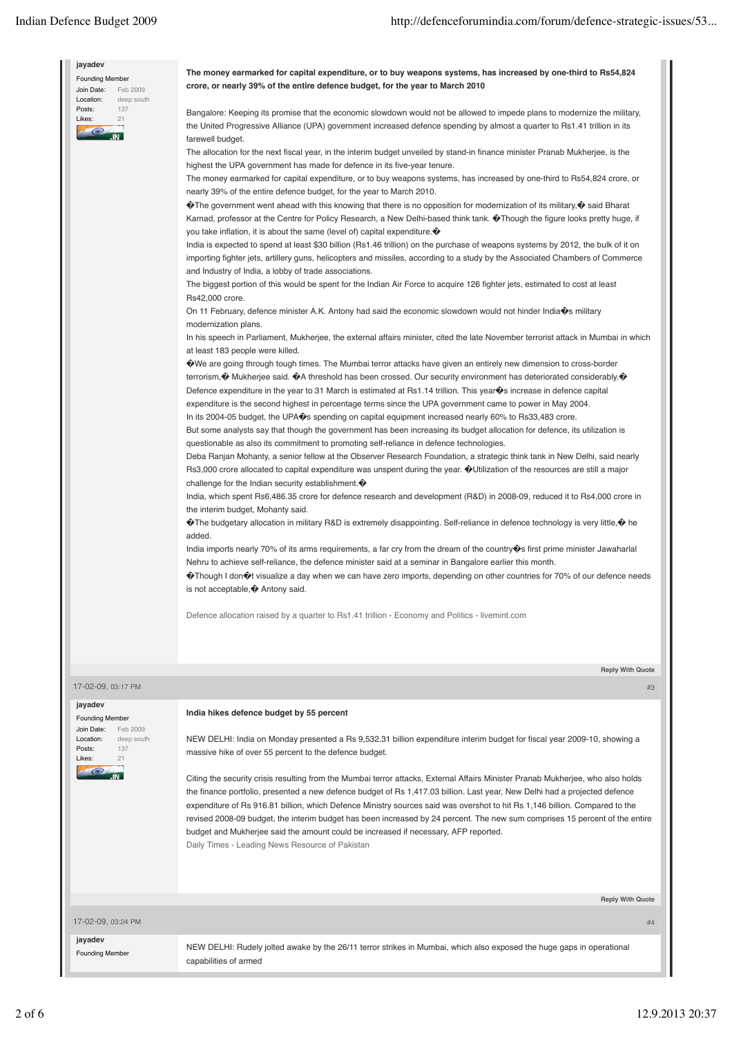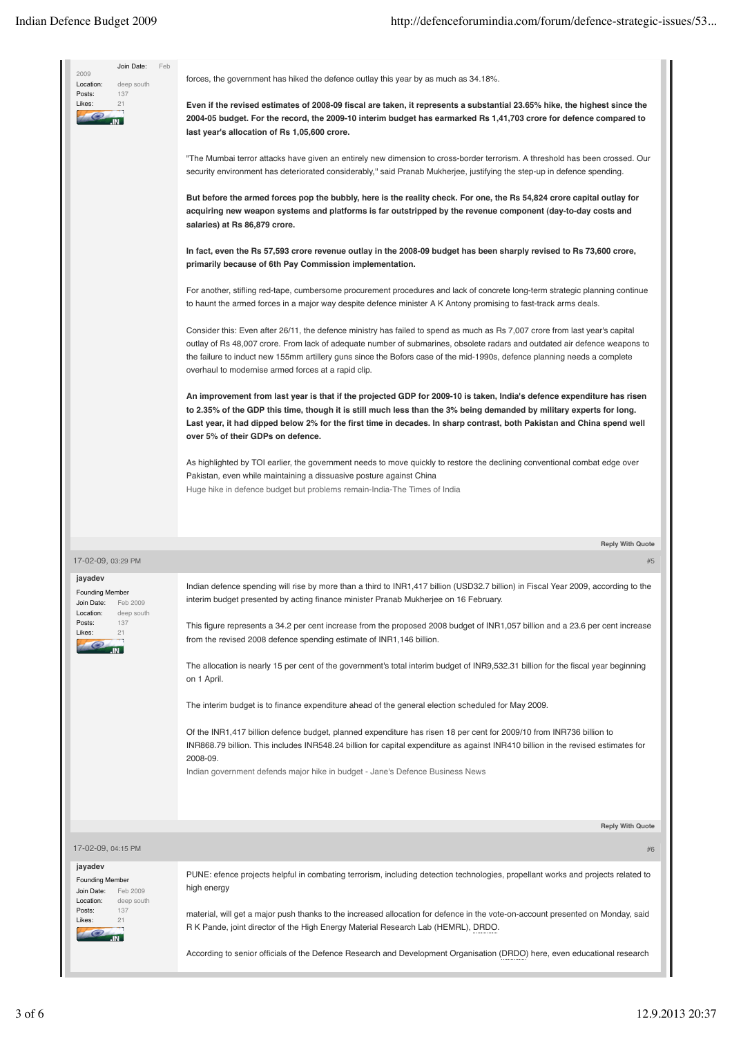| Join Date:<br>Feb<br>2009<br>Location:<br>deep south                                         | forces, the government has hiked the defence outlay this year by as much as 34.18%.                                                                                                                                                                                                                                                                                                                                                           |
|----------------------------------------------------------------------------------------------|-----------------------------------------------------------------------------------------------------------------------------------------------------------------------------------------------------------------------------------------------------------------------------------------------------------------------------------------------------------------------------------------------------------------------------------------------|
| 137<br>Posts:<br>21<br>Likes:<br>$\mathcal{L}(\mathcal{O})$                                  | Even if the revised estimates of 2008-09 fiscal are taken, it represents a substantial 23.65% hike, the highest since the<br>2004-05 budget. For the record, the 2009-10 interim budget has earmarked Rs 1,41,703 crore for defence compared to<br>last year's allocation of Rs 1,05,600 crore.                                                                                                                                               |
|                                                                                              | "The Mumbai terror attacks have given an entirely new dimension to cross-border terrorism. A threshold has been crossed. Our<br>security environment has deteriorated considerably," said Pranab Mukherjee, justifying the step-up in defence spending.                                                                                                                                                                                       |
|                                                                                              | But before the armed forces pop the bubbly, here is the reality check. For one, the Rs 54,824 crore capital outlay for<br>acquiring new weapon systems and platforms is far outstripped by the revenue component (day-to-day costs and<br>salaries) at Rs 86,879 crore.                                                                                                                                                                       |
|                                                                                              | In fact, even the Rs 57,593 crore revenue outlay in the 2008-09 budget has been sharply revised to Rs 73,600 crore,<br>primarily because of 6th Pay Commission implementation.                                                                                                                                                                                                                                                                |
|                                                                                              | For another, stifling red-tape, cumbersome procurement procedures and lack of concrete long-term strategic planning continue<br>to haunt the armed forces in a major way despite defence minister A K Antony promising to fast-track arms deals.                                                                                                                                                                                              |
|                                                                                              | Consider this: Even after 26/11, the defence ministry has failed to spend as much as Rs 7,007 crore from last year's capital<br>outlay of Rs 48,007 crore. From lack of adequate number of submarines, obsolete radars and outdated air defence weapons to<br>the failure to induct new 155mm artillery guns since the Bofors case of the mid-1990s, defence planning needs a complete<br>overhaul to modernise armed forces at a rapid clip. |
|                                                                                              | An improvement from last year is that if the projected GDP for 2009-10 is taken, India's defence expenditure has risen<br>to 2.35% of the GDP this time, though it is still much less than the 3% being demanded by military experts for long.<br>Last year, it had dipped below 2% for the first time in decades. In sharp contrast, both Pakistan and China spend well<br>over 5% of their GDPs on defence.                                 |
|                                                                                              | As highlighted by TOI earlier, the government needs to move quickly to restore the declining conventional combat edge over<br>Pakistan, even while maintaining a dissuasive posture against China<br>Huge hike in defence budget but problems remain-India-The Times of India                                                                                                                                                                 |
|                                                                                              |                                                                                                                                                                                                                                                                                                                                                                                                                                               |
|                                                                                              |                                                                                                                                                                                                                                                                                                                                                                                                                                               |
|                                                                                              | <b>Reply With Quote</b>                                                                                                                                                                                                                                                                                                                                                                                                                       |
| 17-02-09, 03:29 PM                                                                           | #5                                                                                                                                                                                                                                                                                                                                                                                                                                            |
| jayadev<br><b>Founding Member</b><br>Feb 2009<br>Join Date:                                  | Indian defence spending will rise by more than a third to INR1,417 billion (USD32.7 billion) in Fiscal Year 2009, according to the<br>interim budget presented by acting finance minister Pranab Mukherjee on 16 February.                                                                                                                                                                                                                    |
| Location:<br>deep south<br>Posts:<br>137<br>Likes:<br>21<br>$\bullet$                        | This figure represents a 34.2 per cent increase from the proposed 2008 budget of INR1,057 billion and a 23.6 per cent increase<br>from the revised 2008 defence spending estimate of INR1,146 billion.                                                                                                                                                                                                                                        |
|                                                                                              | The allocation is nearly 15 per cent of the government's total interim budget of INR9,532.31 billion for the fiscal year beginning<br>on 1 April.                                                                                                                                                                                                                                                                                             |
|                                                                                              | The interim budget is to finance expenditure ahead of the general election scheduled for May 2009.                                                                                                                                                                                                                                                                                                                                            |
|                                                                                              | Of the INR1,417 billion defence budget, planned expenditure has risen 18 per cent for 2009/10 from INR736 billion to<br>INR868.79 billion. This includes INR548.24 billion for capital expenditure as against INR410 billion in the revised estimates for                                                                                                                                                                                     |
|                                                                                              | 2008-09.<br>Indian government defends major hike in budget - Jane's Defence Business News                                                                                                                                                                                                                                                                                                                                                     |
|                                                                                              |                                                                                                                                                                                                                                                                                                                                                                                                                                               |
| 17-02-09, 04:15 PM                                                                           | <b>Reply With Quote</b><br>#6                                                                                                                                                                                                                                                                                                                                                                                                                 |
| jayadev                                                                                      | PUNE: efence projects helpful in combating terrorism, including detection technologies, propellant works and projects related to                                                                                                                                                                                                                                                                                                              |
| <b>Founding Member</b><br>Join Date:<br>Feb 2009<br>Location:<br>deep south<br>Posts:<br>137 | high energy                                                                                                                                                                                                                                                                                                                                                                                                                                   |
| Likes:<br>21<br>$\circ$                                                                      | material, will get a major push thanks to the increased allocation for defence in the vote-on-account presented on Monday, said<br>R K Pande, joint director of the High Energy Material Research Lab (HEMRL), DRDO.                                                                                                                                                                                                                          |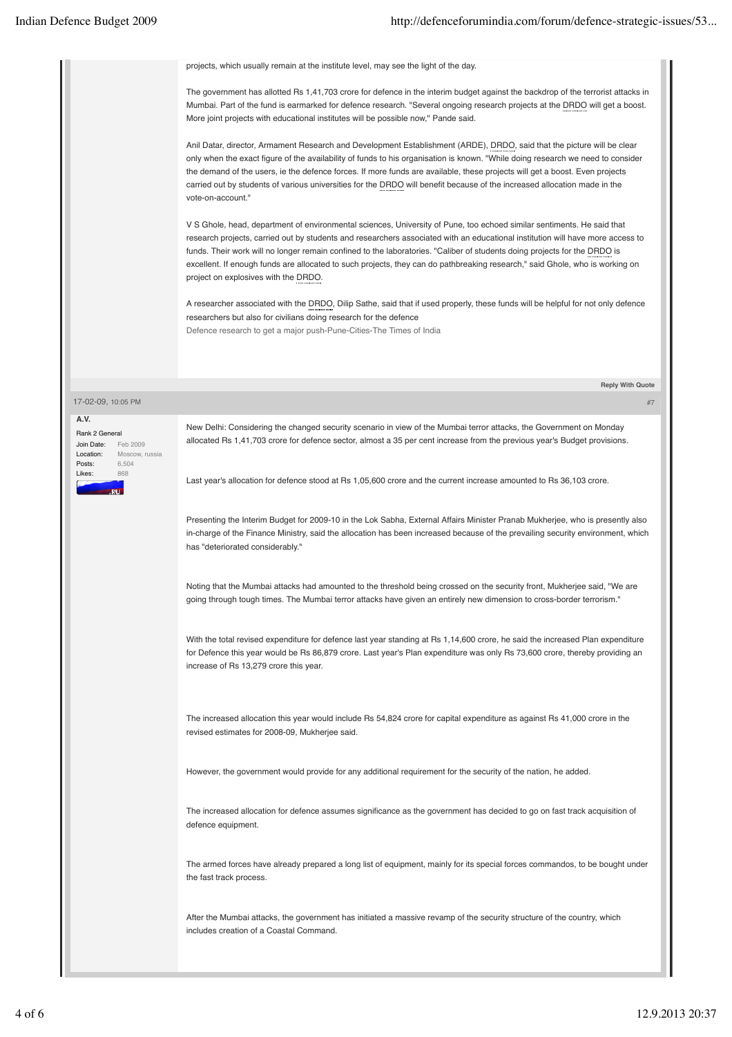projects, which usually remain at the institute level, may see the light of the day.

The government has allotted Rs 1,41,703 crore for defence in the interim budget against the backdrop of the terrorist attacks in Mumbai. Part of the fund is earmarked for defence research. "Several ongoing research projects at the DRDO will get a boost. More joint projects with educational institutes will be possible now," Pande said.

Anil Datar, director, Armament Research and Development Establishment (ARDE), DRDO, said that the picture will be clear only when the exact figure of the availability of funds to his organisation is known. "While doing research we need to consider the demand of the users, ie the defence forces. If more funds are available, these projects will get a boost. Even projects carried out by students of various universities for the DRDO will benefit because of the increased allocation made in the vote-on-account."

V S Ghole, head, department of environmental sciences, University of Pune, too echoed similar sentiments. He said that research projects, carried out by students and researchers associated with an educational institution will have more access to funds. Their work will no longer remain confined to the laboratories. "Caliber of students doing projects for the DRDO is excellent. If enough funds are allocated to such projects, they can do pathbreaking research," said Ghole, who is working on project on explosives with the DRDO.

A researcher associated with the DRDO, Dilip Sathe, said that if used properly, these funds will be helpful for not only defence researchers but also for civilians doing research for the defence Defence research to get a major push-Pune-Cities-The Times of India

|                                                                                                                                  | <b>Reply With Quote</b>                                                                                                                                                                                                                                                                                 |
|----------------------------------------------------------------------------------------------------------------------------------|---------------------------------------------------------------------------------------------------------------------------------------------------------------------------------------------------------------------------------------------------------------------------------------------------------|
| 17-02-09, 10:05 PM                                                                                                               | #7                                                                                                                                                                                                                                                                                                      |
| A.V.<br>Rank 2 General<br>Join Date:<br>Feb 2009<br>Location:<br>Moscow, russia<br>Posts:<br>6,504<br>Likes:<br>868<br><b>RU</b> | New Delhi: Considering the changed security scenario in view of the Mumbai terror attacks, the Government on Monday<br>allocated Rs 1,41,703 crore for defence sector, almost a 35 per cent increase from the previous year's Budget provisions.                                                        |
|                                                                                                                                  | Last year's allocation for defence stood at Rs 1,05,600 crore and the current increase amounted to Rs 36,103 crore.                                                                                                                                                                                     |
|                                                                                                                                  | Presenting the Interim Budget for 2009-10 in the Lok Sabha, External Affairs Minister Pranab Mukherjee, who is presently also<br>in-charge of the Finance Ministry, said the allocation has been increased because of the prevailing security environment, which<br>has "deteriorated considerably."    |
|                                                                                                                                  | Noting that the Mumbai attacks had amounted to the threshold being crossed on the security front, Mukherjee said, "We are<br>going through tough times. The Mumbai terror attacks have given an entirely new dimension to cross-border terrorism."                                                      |
|                                                                                                                                  | With the total revised expenditure for defence last year standing at Rs 1,14,600 crore, he said the increased Plan expenditure<br>for Defence this year would be Rs 86,879 crore. Last year's Plan expenditure was only Rs 73,600 crore, thereby providing an<br>increase of Rs 13,279 crore this year. |
|                                                                                                                                  | The increased allocation this year would include Rs 54,824 crore for capital expenditure as against Rs 41,000 crore in the<br>revised estimates for 2008-09, Mukherjee said.                                                                                                                            |
|                                                                                                                                  | However, the government would provide for any additional requirement for the security of the nation, he added.                                                                                                                                                                                          |
|                                                                                                                                  | The increased allocation for defence assumes significance as the government has decided to go on fast track acquisition of<br>defence equipment.                                                                                                                                                        |
|                                                                                                                                  | The armed forces have already prepared a long list of equipment, mainly for its special forces commandos, to be bought under<br>the fast track process.                                                                                                                                                 |
|                                                                                                                                  | After the Mumbai attacks, the government has initiated a massive revamp of the security structure of the country, which<br>includes creation of a Coastal Command.                                                                                                                                      |
|                                                                                                                                  |                                                                                                                                                                                                                                                                                                         |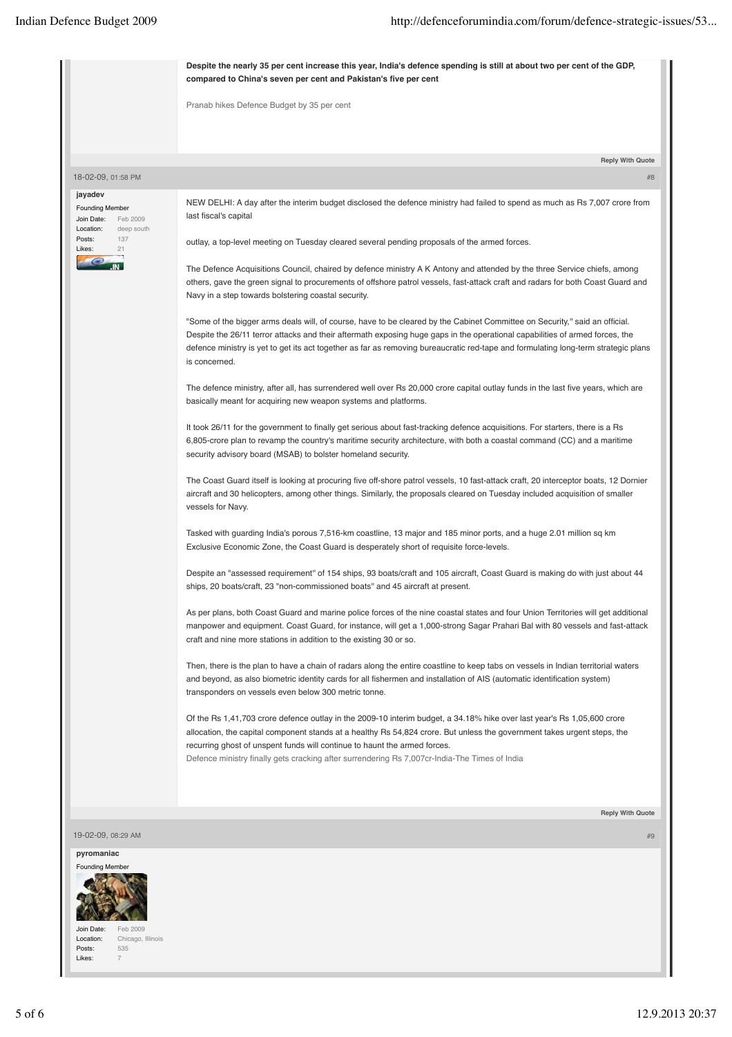